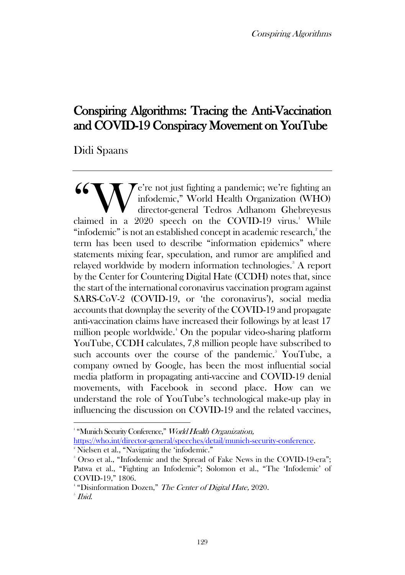Conspiring Algorithms

# Conspiring Algorithms: Tracing the Anti-Vaccination and COVID-19 Conspiracy Movement on YouTube

Didi Spaans

 $\mathcal{T}$ e're not just fighting a pandemic; we're fighting an infodemic," World Health Organization (WHO) director-general Tedros Adhanom Ghebreyesus **66 Warehout** a pandemic; we're fighting an infodemic," World Health Organization (WHO) director-general Tedros Adhanom Ghebreyesus claimed in a 2020 speech on the COVID-19 virus.<sup>1</sup> While "infodemic" is not an established concept in academic research, $\degree$  the term has been used to describe "information epidemics" where statements mixing fear, speculation, and rumor are amplified and relayed worldwide by modern information technologies.<sup>3</sup> A report by the Center for Countering Digital Hate (CCDH) notes that, since the start of the international coronavirus vaccination program against SARS-CoV-2 (COVID-19, or 'the coronavirus'), social media accounts that downplay the severity of the COVID-19 and propagate anti-vaccination claims have increased their followings by at least 17 million people worldwide.<sup>4</sup> On the popular video-sharing platform YouTube, CCDH calculates, 7,8 million people have subscribed to such accounts over the course of the pandemic.<sup>5</sup> YouTube, a company owned by Google, has been the most influential social media platform in propagating anti-vaccine and COVID-19 denial movements, with Facebook in second place. How can we understand the role of YouTube's technological make-up play in influencing the discussion on COVID-19 and the related vaccines,

<sup>2</sup> Nielsen et al., "Navigating the 'infodemic."

<sup>&</sup>lt;sup>1</sup> "Munich Security Conference," World Health Organizatio[n,](https://www.who.int/director-general/speeches/detail/munich-security-conference) [https://who.int/director-general/speeches/detail/munich-security-conference.](https://who.int/director-general/speeches/detail/munich-security-conference)

<sup>&</sup>lt;sup>3</sup> Orso et al., "Infodemic and the Spread of Fake News in the COVID-19-era"; Patwa et al., "Fighting an Infodemic": Solomon et al., "The 'Infodemic' of COVID‐19," 1806.

<sup>&</sup>lt;sup>4</sup> "Disinformation Dozen," The Center of Digital Hate, 2020.

 $^{\circ}$  Ibid.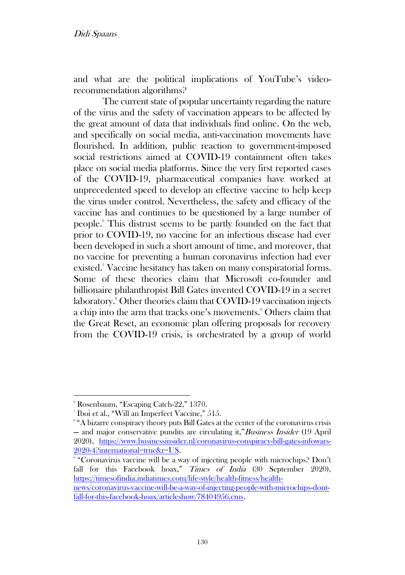and what are the political implications of YouTube's videorecommendation algorithms?

The current state of popular uncertainty regarding the nature of the virus and the safety of vaccination appears to be affected by the great amount of data that individuals find online. On the web, and specifically on social media, anti-vaccination movements have flourished. In addition, public reaction to government-imposed social restrictions aimed at COVID-19 containment often takes place on social media platforms. Since the very first reported cases of the COVID-19, pharmaceutical companies have worked at unprecedented speed to develop an effective vaccine to help keep the virus under control. Nevertheless, the safety and efficacy of the vaccine has and continues to be questioned by a large number of people.<sup>6</sup> This distrust seems to be partly founded on the fact that prior to COVID-19, no vaccine for an infectious disease had ever been developed in such a short amount of time, and moreover, that no vaccine for preventing a human coronavirus infection had ever existed.<sup>7</sup> Vaccine hesitancy has taken on many conspiratorial forms. Some of these theories claim that Microsoft co-founder and billionaire philanthropist Bill Gates invented COVID-19 in a secret laboratory.<sup>8</sup> Other theories claim that COVID-19 vaccination injects a chip into the arm that tracks one's movements.<sup>9</sup> Others claim that the Great Reset, an economic plan offering proposals for recovery from the COVID-19 crisis, is orchestrated by a group of world

<sup>6</sup> Rosenbaum, "Escaping Catch-22," 1370.

<sup>7</sup> Iboi et al., "Will an Imperfect Vaccine," 515.

<sup>8</sup> "A bizarre conspiracy theory puts Bill Gates at the center of the coronavirus crisis — and major conservative pundits are circulating it,"Business Insider (19 April 2020), [https://www.businessinsider.nl/coronavirus-conspiracy-bill-gates-infowars-](https://www.businessinsider.nl/coronavirus-conspiracy-bill-gates-infowars-2020-4?international=true&r=US)[2020-4?international=true&r=US.](https://www.businessinsider.nl/coronavirus-conspiracy-bill-gates-infowars-2020-4?international=true&r=US)

<sup>9</sup> "Coronavirus vaccine will be a way of injecting people with microchips? Don't fall for this Facebook hoax," Times of India (30 September 2020), [https://timesofindia.indiatimes.com/life-style/health-fitness/health-](https://timesofindia.indiatimes.com/life-style/health-fitness/health-ne‌ws/coronavirus-vaccine-will-be-a-way-of-injecting-people-with-micro‌chips-dont-fall-for-this-facebook-hoax/articleshow/78404956.cms)

[news/coronavirus-vaccine-will-be-a-way-of-injecting-people-with-microchips-dont](https://timesofindia.indiatimes.com/life-style/health-fitness/health-ne‌ws/coronavirus-vaccine-will-be-a-way-of-injecting-people-with-micro‌chips-dont-fall-for-this-facebook-hoax/articleshow/78404956.cms)[fall-for-this-facebook-hoax/articleshow/78404956.cms.](https://timesofindia.indiatimes.com/life-style/health-fitness/health-ne‌ws/coronavirus-vaccine-will-be-a-way-of-injecting-people-with-micro‌chips-dont-fall-for-this-facebook-hoax/articleshow/78404956.cms)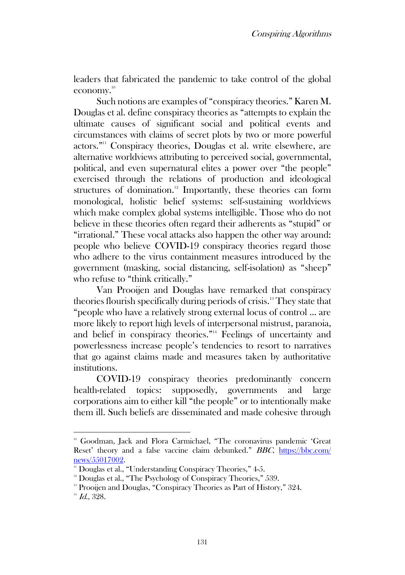leaders that fabricated the pandemic to take control of the global economy. 10

Such notions are examples of "conspiracy theories." Karen M. Douglas et al. define conspiracy theories as "attempts to explain the ultimate causes of significant social and political events and circumstances with claims of secret plots by two or more powerful actors." <sup>11</sup> Conspiracy theories, Douglas et al. write elsewhere, are alternative worldviews attributing to perceived social, governmental, political, and even supernatural elites a power over "the people" exercised through the relations of production and ideological structures of domination.<sup>12</sup> Importantly, these theories can form monological, holistic belief systems: self-sustaining worldviews which make complex global systems intelligible. Those who do not believe in these theories often regard their adherents as "stupid" or "irrational." These vocal attacks also happen the other way around: people who believe COVID-19 conspiracy theories regard those who adhere to the virus containment measures introduced by the government (masking, social distancing, self-isolation) as "sheep" who refuse to "think critically."

Van Prooijen and Douglas have remarked that conspiracy theories flourish specifically during periods of crisis.<sup>13</sup> They state that "people who have a relatively strong external locus of control ... are more likely to report high levels of interpersonal mistrust, paranoia, and belief in conspiracy theories."<sup>14</sup> Feelings of uncertainty and powerlessness increase people's tendencies to resort to narratives that go against claims made and measures taken by authoritative institutions.

COVID-19 conspiracy theories predominantly concern health-related topics: supposedly, governments and large corporations aim to either kill "the people" or to intentionally make them ill. Such beliefs are disseminated and made cohesive through

<sup>&</sup>lt;sup>10</sup> Goodman, Jack and Flora Carmichael, "The coronavirus pandemic 'Great Reset' theory and a false vaccine claim debunked." BBC, [https://bbc.com/](https://bbc.com/news/55017002) [news/55017002.](https://bbc.com/news/55017002)

<sup>&</sup>lt;sup>11</sup> Douglas et al., "Understanding Conspiracy Theories," 4-5.

 $12$  Douglas et al., "The Psychology of Conspiracy Theories," 539.

<sup>&</sup>lt;sup>13</sup> Prooijen and Douglas, "Conspiracy Theories as Part of History," 324.

 $^{14}$  Id., 328.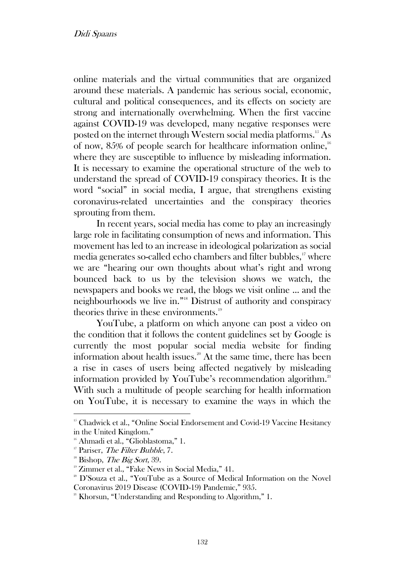online materials and the virtual communities that are organized around these materials. A pandemic has serious social, economic, cultural and political consequences, and its effects on society are strong and internationally overwhelming. When the first vaccine against COVID-19 was developed, many negative responses were posted on the internet through Western social media platforms.<sup>15</sup> As of now, 85% of people search for healthcare information online,<sup>16</sup> where they are susceptible to influence by misleading information. It is necessary to examine the operational structure of the web to understand the spread of COVID-19 conspiracy theories. It is the word "social" in social media, I argue, that strengthens existing coronavirus-related uncertainties and the conspiracy theories sprouting from them.

In recent years, social media has come to play an increasingly large role in facilitating consumption of news and information. This movement has led to an increase in ideological polarization as social media generates so-called echo chambers and filter bubbles,<sup>17</sup> where we are "hearing our own thoughts about what's right and wrong bounced back to us by the television shows we watch, the newspapers and books we read, the blogs we visit online ... and the neighbourhoods we live in." <sup>18</sup> Distrust of authority and conspiracy theories thrive in these environments.<sup>19</sup>

YouTube, a platform on which anyone can post a video on the condition that it follows the content guidelines set by Google is currently the most popular social media website for finding information about health issues.<sup>20</sup> At the same time, there has been a rise in cases of users being affected negatively by misleading information provided by YouTube's recommendation algorithm.<sup>21</sup> With such a multitude of people searching for health information on YouTube, it is necessary to examine the ways in which the

<sup>&</sup>lt;sup>15</sup> Chadwick et al., "Online Social Endorsement and Covid-19 Vaccine Hesitancy in the United Kingdom."

<sup>&</sup>lt;sup>16</sup> Ahmadi et al., "Glioblastoma," 1.

 $17$  Pariser, *The Filter Bubble*, 7.

 $18$  Bishop, *The Big Sort*, 39.

<sup>&</sup>lt;sup>19</sup> Zimmer et al., "Fake News in Social Media," 41.

<sup>&</sup>lt;sup>20</sup> D'Souza et al., "YouTube as a Source of Medical Information on the Novel Coronavirus 2019 Disease (COVID-19) Pandemic," 935.

<sup>&</sup>lt;sup>21</sup> Khorsun, "Understanding and Responding to Algorithm," 1.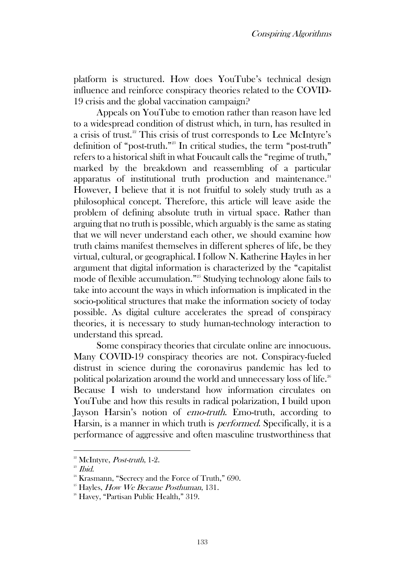platform is structured. How does YouTube's technical design influence and reinforce conspiracy theories related to the COVID-19 crisis and the global vaccination campaign?

Appeals on YouTube to emotion rather than reason have led to a widespread condition of distrust which, in turn, has resulted in a crisis of trust.<sup>22</sup> This crisis of trust corresponds to Lee McIntyre's definition of "post-truth." <sup>23</sup> In critical studies, the term "post-truth" refers to a historical shift in what Foucault calls the "regime of truth," marked by the breakdown and reassembling of a particular apparatus of institutional truth production and maintenance. $24$ However, I believe that it is not fruitful to solely study truth as a philosophical concept. Therefore, this article will leave aside the problem of defining absolute truth in virtual space. Rather than arguing that no truth is possible, which arguably is the same as stating that we will never understand each other, we should examine how truth claims manifest themselves in different spheres of life, be they virtual, cultural, or geographical. I follow N. Katherine Hayles in her argument that digital information is characterized by the "capitalist mode of flexible accumulation." <sup>25</sup> Studying technology alone fails to take into account the ways in which information is implicated in the socio-political structures that make the information society of today possible. As digital culture accelerates the spread of conspiracy theories, it is necessary to study human-technology interaction to understand this spread.

Some conspiracy theories that circulate online are innocuous. Many COVID-19 conspiracy theories are not. Conspiracy-fueled distrust in science during the coronavirus pandemic has led to political polarization around the world and unnecessary loss of life.<sup>26</sup> Because I wish to understand how information circulates on YouTube and how this results in radical polarization, I build upon Jayson Harsin's notion of *emo-truth*. Emo-truth, according to Harsin, is a manner in which truth is performed. Specifically, it is a performance of aggressive and often masculine trustworthiness that

 $2<sup>22</sup>$  McIntyre, *Post-truth*, 1-2.

 $23$  *Ibid.* 

<sup>&</sup>lt;sup>24</sup> Krasmann, "Secrecy and the Force of Truth," 690.

 $25$  Hayles, *How We Became Posthuman*, 131.

<sup>&</sup>lt;sup>26</sup> Havey, "Partisan Public Health," 319.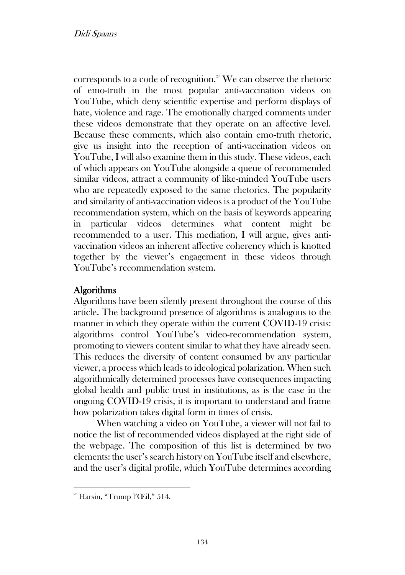corresponds to a code of recognition.<sup>27</sup> We can observe the rhetoric of emo-truth in the most popular anti-vaccination videos on YouTube, which deny scientific expertise and perform displays of hate, violence and rage. The emotionally charged comments under these videos demonstrate that they operate on an affective level. Because these comments, which also contain emo-truth rhetoric, give us insight into the reception of anti-vaccination videos on YouTube, I will also examine them in this study. These videos, each of which appears on YouTube alongside a queue of recommended similar videos, attract a community of like-minded YouTube users who are repeatedly exposed to the same rhetorics. The popularity and similarity of anti-vaccination videos is a product of the YouTube recommendation system, which on the basis of keywords appearing in particular videos determines what content might be recommended to a user. This mediation, I will argue, gives antivaccination videos an inherent affective coherency which is knotted together by the viewer's engagement in these videos through YouTube's recommendation system.

# Algorithms

Algorithms have been silently present throughout the course of this article. The background presence of algorithms is analogous to the manner in which they operate within the current COVID-19 crisis: algorithms control YouTube's video-recommendation system, promoting to viewers content similar to what they have already seen. This reduces the diversity of content consumed by any particular viewer, a process which leads to ideological polarization. When such algorithmically determined processes have consequences impacting global health and public trust in institutions, as is the case in the ongoing COVID-19 crisis, it is important to understand and frame how polarization takes digital form in times of crisis.

When watching a video on YouTube, a viewer will not fail to notice the list of recommended videos displayed at the right side of the webpage. The composition of this list is determined by two elements: the user's search history on YouTube itself and elsewhere, and the user's digital profile, which YouTube determines according

 $2^{\circ}$  Harsin, "Trump l'Œil," 514.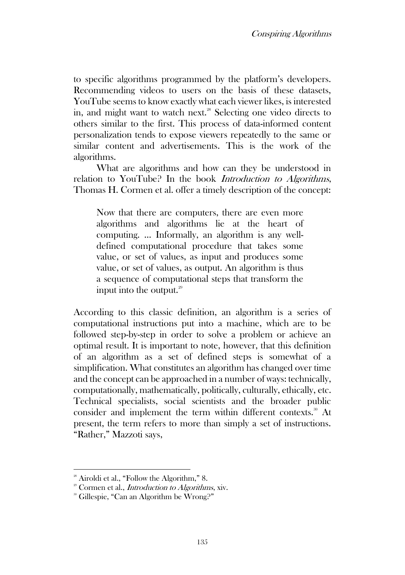to specific algorithms programmed by the platform's developers. Recommending videos to users on the basis of these datasets, YouTube seems to know exactly what each viewer likes, is interested in, and might want to watch next.<sup>28</sup> Selecting one video directs to others similar to the first. This process of data-informed content personalization tends to expose viewers repeatedly to the same or similar content and advertisements. This is the work of the algorithms.

What are algorithms and how can they be understood in relation to YouTube? In the book Introduction to Algorithms, Thomas H. Cormen et al. offer a timely description of the concept:

Now that there are computers, there are even more algorithms and algorithms lie at the heart of computing. … Informally, an algorithm is any welldefined computational procedure that takes some value, or set of values, as input and produces some value, or set of values, as output. An algorithm is thus a sequence of computational steps that transform the input into the output. $29$ 

According to this classic definition, an algorithm is a series of computational instructions put into a machine, which are to be followed step-by-step in order to solve a problem or achieve an optimal result. It is important to note, however, that this definition of an algorithm as a set of defined steps is somewhat of a simplification. What constitutes an algorithm has changed over time and the concept can be approached in a number of ways: technically, computationally, mathematically, politically, culturally, ethically, etc. Technical specialists, social scientists and the broader public consider and implement the term within different contexts.<sup>30</sup> At present, the term refers to more than simply a set of instructions. "Rather," Mazzoti says,

<sup>&</sup>lt;sup>28</sup> Airoldi et al., "Follow the Algorithm," 8.

 $2^{\circ}$  Cormen et al., *Introduction to Algorithms*, xiv.

<sup>30</sup> Gillespie, "Can an Algorithm be Wrong?"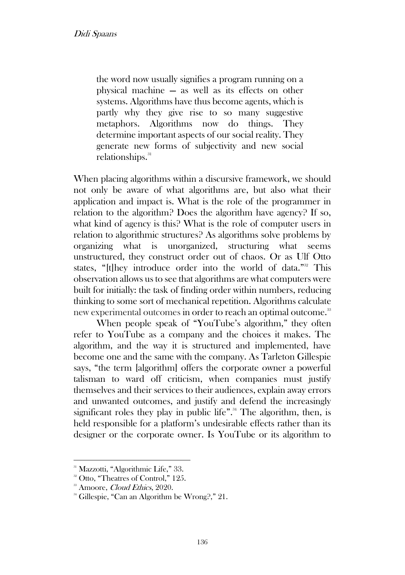the word now usually signifies a program running on a physical machine — as well as its effects on other systems. Algorithms have thus become agents, which is partly why they give rise to so many suggestive metaphors. Algorithms now do things. They determine important aspects of our social reality. They generate new forms of subjectivity and new social relationships.<sup>31</sup>

When placing algorithms within a discursive framework, we should not only be aware of what algorithms are, but also what their application and impact is. What is the role of the programmer in relation to the algorithm? Does the algorithm have agency? If so, what kind of agency is this? What is the role of computer users in relation to algorithmic structures? As algorithms solve problems by organizing what is unorganized, structuring what seems unstructured, they construct order out of chaos. Or as Ulf Otto states, "[t]hey introduce order into the world of data."<sup>32</sup> This observation allows us to see that algorithms are what computers were built for initially: the task of finding order within numbers, reducing thinking to some sort of mechanical repetition. Algorithms calculate new experimental outcomes in order to reach an optimal outcome.<sup>33</sup>

When people speak of "YouTube's algorithm," they often refer to YouTube as a company and the choices it makes. The algorithm, and the way it is structured and implemented, have become one and the same with the company. As Tarleton Gillespie says, "the term [algorithm] offers the corporate owner a powerful talisman to ward off criticism, when companies must justify themselves and their services to their audiences, explain away errors and unwanted outcomes, and justify and defend the increasingly significant roles they play in public life".<sup>34</sup> The algorithm, then, is held responsible for a platform's undesirable effects rather than its designer or the corporate owner. Is YouTube or its algorithm to

<sup>&</sup>lt;sup>31</sup> Mazzotti, "Algorithmic Life," 33.

<sup>&</sup>lt;sup>32</sup> Otto, "Theatres of Control," 125.

<sup>&</sup>lt;sup>33</sup> Amoore, *Cloud Ethics*, 2020.

<sup>&</sup>lt;sup>34</sup> Gillespie, "Can an Algorithm be Wrong?," 21.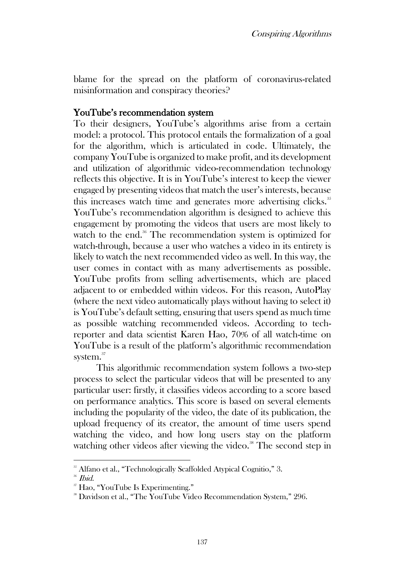blame for the spread on the platform of coronavirus-related misinformation and conspiracy theories?

#### YouTube's recommendation system

To their designers, YouTube's algorithms arise from a certain model: a protocol. This protocol entails the formalization of a goal for the algorithm, which is articulated in code. Ultimately, the company YouTube is organized to make profit, and its development and utilization of algorithmic video-recommendation technology reflects this objective. It is in YouTube's interest to keep the viewer engaged by presenting videos that match the user's interests, because this increases watch time and generates more advertising clicks.<sup>35</sup> YouTube's recommendation algorithm is designed to achieve this engagement by promoting the videos that users are most likely to watch to the end.<sup>36</sup> The recommendation system is optimized for watch-through, because a user who watches a video in its entirety is likely to watch the next recommended video as well. In this way, the user comes in contact with as many advertisements as possible. YouTube profits from selling advertisements, which are placed adjacent to or embedded within videos. For this reason, AutoPlay (where the next video automatically plays without having to select it) is YouTube's default setting, ensuring that users spend as much time as possible watching recommended videos. According to techreporter and data scientist Karen Hao, 70% of all watch-time on YouTube is a result of the platform's algorithmic recommendation system.<sup>37</sup>

This algorithmic recommendation system follows a two-step process to select the particular videos that will be presented to any particular user: firstly, it classifies videos according to a score based on performance analytics. This score is based on several elements including the popularity of the video, the date of its publication, the upload frequency of its creator, the amount of time users spend watching the video, and how long users stay on the platform watching other videos after viewing the video.<sup>38</sup> The second step in

<sup>&</sup>lt;sup>35</sup> Alfano et al., "Technologically Scaffolded Atypical Cognitio," 3.

<sup>36</sup> Ibid.

<sup>37</sup> Hao, "YouTube Is Experimenting."

<sup>38</sup> Davidson et al., "The YouTube Video Recommendation System," 296.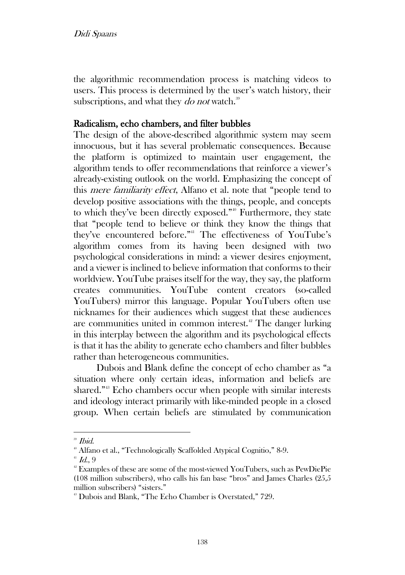the algorithmic recommendation process is matching videos to users. This process is determined by the user's watch history, their subscriptions, and what they *do not* watch.<sup>39</sup>

# Radicalism, echo chambers, and filter bubbles

The design of the above-described algorithmic system may seem innocuous, but it has several problematic consequences. Because the platform is optimized to maintain user engagement, the algorithm tends to offer recommendations that reinforce a viewer's already-existing outlook on the world. Emphasizing the concept of this mere familiarity effect, Alfano et al. note that "people tend to develop positive associations with the things, people, and concepts to which they've been directly exposed."<sup>40</sup> Furthermore, they state that "people tend to believe or think they know the things that they've encountered before." <sup>41</sup> The effectiveness of YouTube's algorithm comes from its having been designed with two psychological considerations in mind: a viewer desires enjoyment, and a viewer is inclined to believe information that conforms to their worldview. YouTube praises itself for the way, they say, the platform creates communities. YouTube content creators (so-called YouTubers) mirror this language. Popular YouTubers often use nicknames for their audiences which suggest that these audiences are communities united in common interest.<sup>42</sup> The danger lurking in this interplay between the algorithm and its psychological effects is that it has the ability to generate echo chambers and filter bubbles rather than heterogeneous communities.

Dubois and Blank define the concept of echo chamber as "a situation where only certain ideas, information and beliefs are shared." <sup>43</sup> Echo chambers occur when people with similar interests and ideology interact primarily with like-minded people in a closed group. When certain beliefs are stimulated by communication

<sup>39</sup> Ibid.

<sup>&</sup>lt;sup>40</sup> Alfano et al., "Technologically Scaffolded Atypical Cognitio," 8-9.

 $41$  Id., 9

<sup>&</sup>lt;sup>42</sup> Examples of these are some of the most-viewed YouTubers, such as PewDiePie (108 million subscribers), who calls his fan base "bros" and James Charles (25,5 million subscribers) "sisters."

<sup>&</sup>lt;sup>43</sup> Dubois and Blank, "The Echo Chamber is Overstated," 729.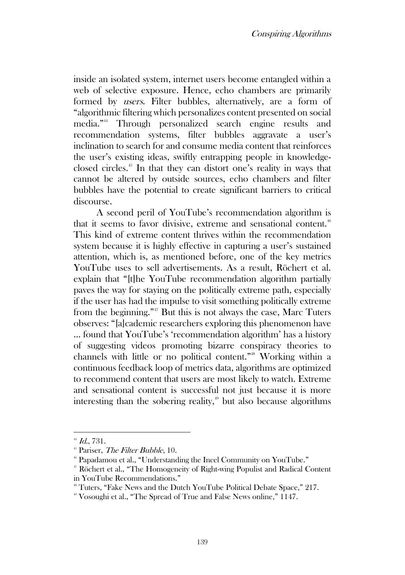inside an isolated system, internet users become entangled within a web of selective exposure. Hence, echo chambers are primarily formed by users. Filter bubbles, alternatively, are a form of "algorithmic filtering which personalizes content presented on social media." <sup>44</sup> Through personalized search engine results and recommendation systems, filter bubbles aggravate a user's inclination to search for and consume media content that reinforces the user's existing ideas, swiftly entrapping people in knowledgeclosed circles.<sup>45</sup> In that they can distort one's reality in ways that cannot be altered by outside sources, echo chambers and filter bubbles have the potential to create significant barriers to critical discourse.

A second peril of YouTube's recommendation algorithm is that it seems to favor divisive, extreme and sensational content.<sup>46</sup> This kind of extreme content thrives within the recommendation system because it is highly effective in capturing a user's sustained attention, which is, as mentioned before, one of the key metrics YouTube uses to sell advertisements. As a result, Röchert et al. explain that "[t]he YouTube recommendation algorithm partially paves the way for staying on the politically extreme path, especially if the user has had the impulse to visit something politically extreme from the beginning." <sup>47</sup> But this is not always the case, Marc Tuters observes: "[a]cademic researchers exploring this phenomenon have … found that YouTube's 'recommendation algorithm' has a history of suggesting videos promoting bizarre conspiracy theories to channels with little or no political content." <sup>48</sup> Working within a continuous feedback loop of metrics data, algorithms are optimized to recommend content that users are most likely to watch. Extreme and sensational content is successful not just because it is more interesting than the sobering reality,<sup>49</sup> but also because algorithms

 $44$  Id., 731.

<sup>&</sup>lt;sup>45</sup> Pariser, The Filter Bubble, 10.

<sup>46</sup> Papadamou et al., "Understanding the Incel Community on YouTube."

<sup>47</sup> Röchert et al., "The Homogeneity of Right-wing Populist and Radical Content in YouTube Recommendations."

<sup>&</sup>lt;sup>48</sup> Tuters, "Fake News and the Dutch YouTube Political Debate Space," 217.

<sup>49</sup> Vosoughi et al., "The Spread of True and False News online," 1147.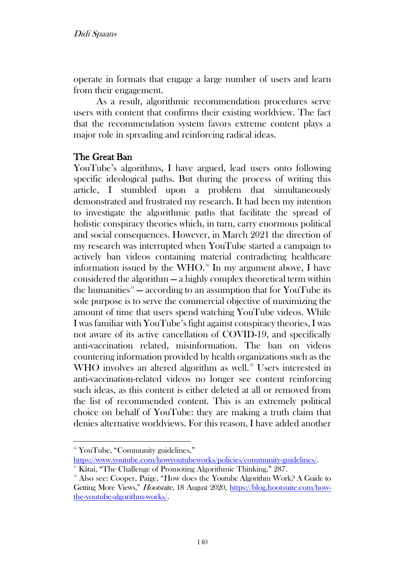operate in formats that engage a large number of users and learn from their engagement.

As a result, algorithmic recommendation procedures serve users with content that confirms their existing worldview. The fact that the recommendation system favors extreme content plays a major role in spreading and reinforcing radical ideas.

### The Great Ban

YouTube's algorithms, I have argued, lead users onto following specific ideological paths. But during the process of writing this article, I stumbled upon a problem that simultaneously demonstrated and frustrated my research. It had been my intention to investigate the algorithmic paths that facilitate the spread of holistic conspiracy theories which, in turn, carry enormous political and social consequences. However, in March 2021 the direction of my research was interrupted when YouTube started a campaign to actively ban videos containing material contradicting healthcare information issued by the WHO. $^{50}$  In my argument above, I have considered the algorithm — a highly complex theoretical term within the humanities $5<sup>51</sup>$  — according to an assumption that for YouTube its sole purpose is to serve the commercial objective of maximizing the amount of time that users spend watching YouTube videos. While I was familiar with YouTube's fight against conspiracy theories, I was not aware of its active cancellation of COVID-19, and specifically anti-vaccination related, misinformation. The ban on videos countering information provided by health organizations such as the WHO involves an altered algorithm as well.<sup>52</sup> Users interested in anti-vaccination-related videos no longer see content reinforcing such ideas, as this content is either deleted at all or removed from the list of recommended content. This is an extremely political choice on behalf of YouTube: they are making a truth claim that denies alternative worldviews. For this reason, I have added another

<sup>&</sup>lt;sup>50</sup> YouTube, "Community guidelines,"

https://www.youtube.com/howyoutubeworks/policies/community-guidelines/.

<sup>&</sup>lt;sup>51</sup> Kátai, "The Challenge of Promoting Algorithmic Thinking," 287.

<sup>&</sup>lt;sup>52</sup> Also see: Cooper, Paige, "How does the Youtube Algorithm Work? A Guide to Getting More Views," Hootsuite, 18 August 202[0,](%20) [https://blog.hootsuite.com/how](https://blog.hootsuite.com/how-the-youtube-algorithm-works/)[the-youtube-algorithm-works/.](https://blog.hootsuite.com/how-the-youtube-algorithm-works/)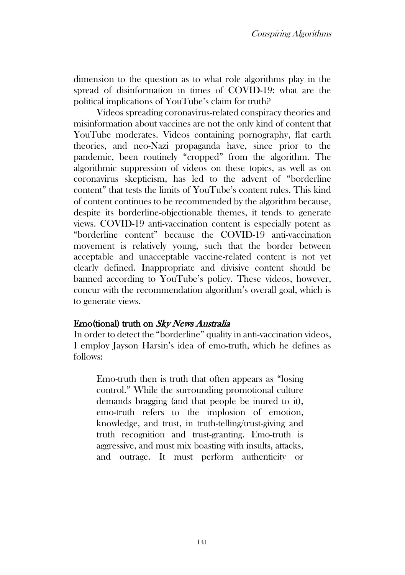dimension to the question as to what role algorithms play in the spread of disinformation in times of COVID-19: what are the political implications of YouTube's claim for truth?

Videos spreading coronavirus-related conspiracy theories and misinformation about vaccines are not the only kind of content that YouTube moderates. Videos containing pornography, flat earth theories, and neo-Nazi propaganda have, since prior to the pandemic, been routinely "cropped" from the algorithm. The algorithmic suppression of videos on these topics, as well as on coronavirus skepticism, has led to the advent of "borderline content" that tests the limits of YouTube's content rules. This kind of content continues to be recommended by the algorithm because, despite its borderline-objectionable themes, it tends to generate views. COVID-19 anti-vaccination content is especially potent as "borderline content" because the COVID-19 anti-vaccination movement is relatively young, such that the border between acceptable and unacceptable vaccine-related content is not yet clearly defined. Inappropriate and divisive content should be banned according to YouTube's policy. These videos, however, concur with the recommendation algorithm's overall goal, which is to generate views.

### Emo(tional) truth on Sky News Australia

In order to detect the "borderline" quality in anti-vaccination videos, I employ Jayson Harsin's idea of emo-truth, which he defines as follows:

Emo-truth then is truth that often appears as "losing control." While the surrounding promotional culture demands bragging (and that people be inured to it), emo-truth refers to the implosion of emotion, knowledge, and trust, in truth-telling/trust-giving and truth recognition and trust-granting. Emo-truth is aggressive, and must mix boasting with insults, attacks, and outrage. It must perform authenticity or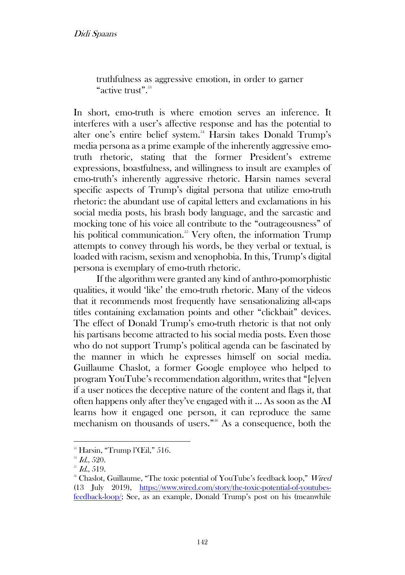truthfulness as aggressive emotion, in order to garner "active trust".<sup>53</sup>

In short, emo-truth is where emotion serves an inference. It interferes with a user's affective response and has the potential to alter one's entire belief system.<sup>54</sup> Harsin takes Donald Trump's media persona as a prime example of the inherently aggressive emotruth rhetoric, stating that the former President's extreme expressions, boastfulness, and willingness to insult are examples of emo-truth's inherently aggressive rhetoric. Harsin names several specific aspects of Trump's digital persona that utilize emo-truth rhetoric: the abundant use of capital letters and exclamations in his social media posts, his brash body language, and the sarcastic and mocking tone of his voice all contribute to the "outrageousness" of his political communication.<sup>55</sup> Very often, the information Trump attempts to convey through his words, be they verbal or textual, is loaded with racism, sexism and xenophobia. In this, Trump's digital persona is exemplary of emo-truth rhetoric.

If the algorithm were granted any kind of anthro-pomorphistic qualities, it would 'like' the emo-truth rhetoric. Many of the videos that it recommends most frequently have sensationalizing all-caps titles containing exclamation points and other "clickbait" devices. The effect of Donald Trump's emo-truth rhetoric is that not only his partisans become attracted to his social media posts. Even those who do not support Trump's political agenda can be fascinated by the manner in which he expresses himself on social media. Guillaume Chaslot, a former Google employee who helped to program YouTube's recommendation algorithm, writes that "[e]ven if a user notices the deceptive nature of the content and flags it, that often happens only after they've engaged with it … As soon as the AI learns how it engaged one person, it can reproduce the same mechanism on thousands of users." <sup>56</sup> As a consequence, both the

 $\rm{^{33}}$  Harsin, "Trump l'Œil," 516.

 $^{54}$  Id., 520.

 $^{55}$  Id., 519.

<sup>&</sup>lt;sup>56</sup> Chaslot, Guillaume, "The toxic potential of YouTube's feedback loop," Wired (13 July 2019), [https://www.wired.com/story/the-toxic-potential-of-youtubes](https://www.wired.com/story/the-toxic-potential-of-youtubes-feedback-loop/)[feedback-loop/;](https://www.wired.com/story/the-toxic-potential-of-youtubes-feedback-loop/) See, as an example, Donald Trump's post on his (meanwhile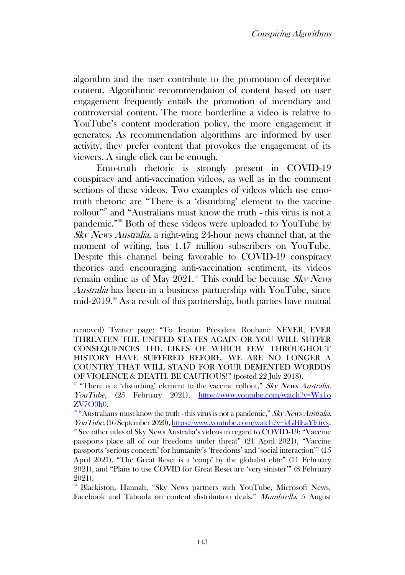algorithm and the user contribute to the promotion of deceptive content. Algorithmic recommendation of content based on user engagement frequently entails the promotion of incendiary and controversial content. The more borderline a video is relative to YouTube's content moderation policy, the more engagement it generates. As recommendation algorithms are informed by user activity, they prefer content that provokes the engagement of its viewers. A single click can be enough.

Emo-truth rhetoric is strongly present in COVID-19 conspiracy and anti-vaccination videos, as well as in the comment sections of these videos. Two examples of videos which use emotruth rhetoric are "There is a 'disturbing' element to the vaccine rollout" <sup>57</sup> and "Australians must know the truth - this virus is not a pandemic." <sup>58</sup> Both of these videos were uploaded to YouTube by Sky News Australia, a right-wing 24-hour news channel that, at the moment of writing, has 1.47 million subscribers on YouTube. Despite this channel being favorable to COVID-19 conspiracy theories and encouraging anti-vaccination sentiment, its videos remain online as of May 2021.<sup>59</sup> This could be because Sky News Australia has been in a business partnership with YouTube, since mid-2019.<sup>60</sup> As a result of this partnership, both parties have mutual

removed) Twitter page: "To Iranian President Rouhani: NEVER, EVER THREATEN THE UNITED STATES AGAIN OR YOU WILL SUFFER CONSEQUENCES THE LIKES OF WHICH FEW THROUGHOUT HISTORY HAVE SUFFERED BEFORE. WE ARE NO LONGER A COUNTRY THAT WILL STAND FOR YOUR DEMENTED WORDDS OF VIOLENCE & DEATH. BE CAUTIOUS!" (posted 22 July 2018).

 $57$  "There is a 'disturbing' element to the vaccine rollout," Sky News Australia, YouTube, (25 February 2021[\),](http://www.youtube.com/watch?v=Wa1oZV7O3h0) https:/[/www.youtube.com/watch?v=Wa1o](http://www.youtube.com/watch?v=Wa1o‌ZV7O3h0) [ZV7O3h0.](http://www.youtube.com/watch?v=Wa1o‌ZV7O3h0)

<sup>&</sup>lt;sup>58</sup> "Australians must know the truth - this virus is not a pandemic," Sky News Australia. YouTube, (16 September 2020), [https://www.youtube.com/watch?v=kGBEaYEtiys.](https://www.youtube.com/watch?v=kGBEaYEtiys)

<sup>59</sup> See other titles of Sky News Australia's videos in regard to COVID-19: "Vaccine passports place all of our freedoms under threat" (21 April 2021), "Vaccine passports 'serious concern' for humanity's 'freedoms' and 'social interaction'" (15 April 2021), "The Great Reset is a 'coup' by the globalist elite" (11 February 2021), and "Plans to use COVID for Great Reset are 'very sinister'" (8 February 2021).

<sup>60</sup> Blackiston, Hannah, "Sky News partners with YouTube, Microsoft News, Facebook and Taboola on content distribution deals." Mumbrella, 5 August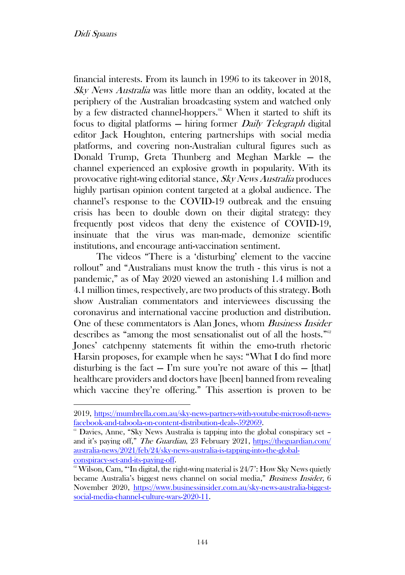financial interests. From its launch in 1996 to its takeover in 2018, Sky News Australia was little more than an oddity, located at the periphery of the Australian broadcasting system and watched only by a few distracted channel-hoppers. $61$  When it started to shift its focus to digital platforms — hiring former Daily Telegraph digital editor Jack Houghton, entering partnerships with social media platforms, and covering non-Australian cultural figures such as Donald Trump, Greta Thunberg and Meghan Markle — the channel experienced an explosive growth in popularity. With its provocative right-wing editorial stance, Sky News Australia produces highly partisan opinion content targeted at a global audience. The channel's response to the COVID-19 outbreak and the ensuing crisis has been to double down on their digital strategy: they frequently post videos that deny the existence of COVID-19, insinuate that the virus was man-made, demonize scientific institutions, and encourage anti-vaccination sentiment.

The videos "There is a 'disturbing' element to the vaccine rollout" and "Australians must know the truth - this virus is not a pandemic," as of May 2020 viewed an astonishing 1.4 million and 4.1 million times, respectively, are two products of this strategy. Both show Australian commentators and interviewees discussing the coronavirus and international vaccine production and distribution. One of these commentators is Alan Jones, whom Business Insider describes as "among the most sensationalist out of all the hosts."<sup>62</sup> Jones' catchpenny statements fit within the emo-truth rhetoric Harsin proposes, for example when he says: "What I do find more disturbing is the fact  $-$  I'm sure you're not aware of this  $-$  [that] healthcare providers and doctors have [been] banned from revealing which vaccine they're offering." This assertion is proven to be

<sup>201</sup>[9,](https://mumbrella.com.au/sky-news-partners-with-youtube-microsoft-news-facebook-and-taboola-on-content-distribution-deals-592069) [https://mumbrella.com.au/sky-news-partners-with-youtube-microsoft-news](https://mumbrella.com.au/sky-news-partners-with-youtube-microsoft-news-facebook-and-taboola-on-content-distribution-deals-592069)[facebook-and-taboola-on-content-distribution-deals-592069.](https://mumbrella.com.au/sky-news-partners-with-youtube-microsoft-news-facebook-and-taboola-on-content-distribution-deals-592069)

 $\alpha$ <sup>61</sup> Davies, Anne, "Sky News Australia is tapping into the global conspiracy set  $\alpha$ and it's paying off," The Guardian, 23 February 202[1,](https://www.theguardian.com/australia-news/2021/feb/24/sky-news-australia-is-tapping-into-the-global-conspiracy-set-and-its-paying-off) [https://theguardian.com/](https://theguardian.com/australia-news/2021/feb/24/sky-news-australia-is-tapping-into-the-global-conspiracy-set-and-its-paying-off) [australia-news/2021/feb/24/sky-news-australia-is-tapping-into-the-global](https://theguardian.com/australia-news/2021/feb/24/sky-news-australia-is-tapping-into-the-global-conspiracy-set-and-its-paying-off)[conspiracy-set-and-its-paying-off.](https://theguardian.com/australia-news/2021/feb/24/sky-news-australia-is-tapping-into-the-global-conspiracy-set-and-its-paying-off)

 $\degree$  Wilson, Cam, "Th digital, the right-wing material is  $24/7$ : How Sky News quietly became Australia's biggest news channel on social media," Business Insider, 6 November 2020, [https://www.businessinsider.com.au/sky-news-australia-biggest](https://www.businessinsider.com.au/sky-news-australia-biggest-social-media-channel-culture-wars-2020-11)[social-media-channel-culture-wars-2020-11.](https://www.businessinsider.com.au/sky-news-australia-biggest-social-media-channel-culture-wars-2020-11)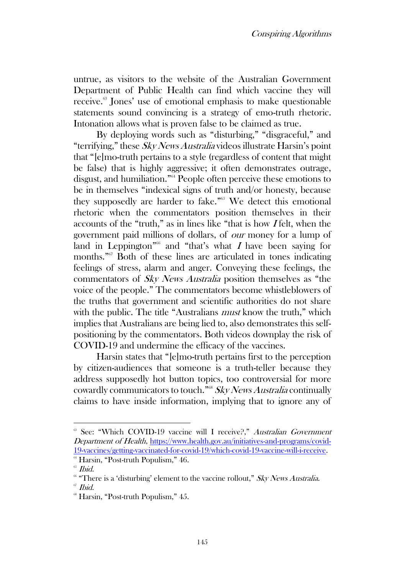untrue, as visitors to the website of the Australian Government Department of Public Health can find which vaccine they will receive.<sup>63</sup> Jones' use of emotional emphasis to make questionable statements sound convincing is a strategy of emo-truth rhetoric. Intonation allows what is proven false to be claimed as true.

By deploying words such as "disturbing," "disgraceful," and "terrifying," these  $SkyNews$  Australia videos illustrate Harsin's point that "[e]mo-truth pertains to a style (regardless of content that might be false) that is highly aggressive; it often demonstrates outrage, disgust, and humiliation." <sup>64</sup> People often perceive these emotions to be in themselves "indexical signs of truth and/or honesty, because they supposedly are harder to fake."<sup>65</sup> We detect this emotional rhetoric when the commentators position themselves in their accounts of the "truth," as in lines like "that is how <sup>I</sup> felt, when the government paid millions of dollars, of our money for a lump of land in Leppington<sup>"66</sup> and "that's what I have been saying for months." <sup>67</sup> Both of these lines are articulated in tones indicating feelings of stress, alarm and anger. Conveying these feelings, the commentators of Sky News Australia position themselves as "the voice of the people." The commentators become whistleblowers of the truths that government and scientific authorities do not share with the public. The title "Australians *must* know the truth," which implies that Australians are being lied to, also demonstrates this selfpositioning by the commentators. Both videos downplay the risk of COVID-19 and undermine the efficacy of the vaccines.

Harsin states that "[e]mo-truth pertains first to the perception by citizen-audiences that someone is a truth-teller because they address supposedly hot button topics, too controversial for more cowardly communicators to touch."<sup>68</sup> Sky News Australia continually claims to have inside information, implying that to ignore any of

<sup>&</sup>lt;sup>63</sup> See: "[Which COVID-19 vaccine will I receive?,](https://www.health.gov.au/initiatives-and-programs/covid-19-vaccines/getting-vaccinated-for-covid-19/which-covid-19-vaccine-will-i-receive)" Australian Government [Department of Health](https://www.health.gov.au/initiatives-and-programs/covid-19-vaccines/getting-vaccinated-for-covid-19/which-covid-19-vaccine-will-i-receive), [https://www.health.gov.au/initiatives-and-programs/covid-](https://www.health.gov.au/initiatives-and-programs/covid-19-vaccines/getting-vaccinated-for-covid-19/which-covid-19-vaccine-will-i-receive)[19-vaccines/getting-vaccinated-for-covid-19/which-covid-19-vaccine-will-i-receive.](https://www.health.gov.au/initiatives-and-programs/covid-19-vaccines/getting-vaccinated-for-covid-19/which-covid-19-vaccine-will-i-receive)

<sup>&</sup>lt;sup>64</sup> Harsin, "Post-truth Populism," 46.

<sup>&</sup>lt;sup>65</sup> Ibid.

 $66$  "There is a 'disturbing' element to the vaccine rollout," Sky News Australia.  $67$  *Ibid* 

 $\textdegree$  Harsin, "Post-truth Populism," 45.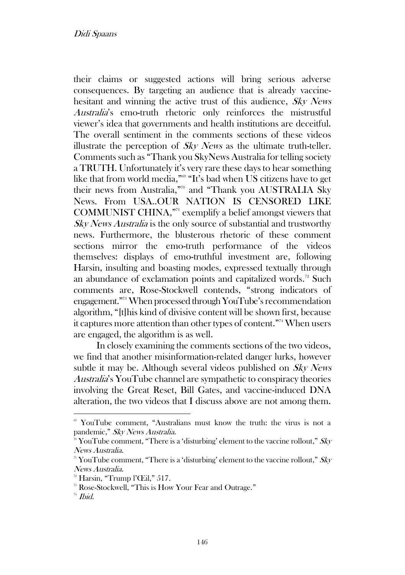their claims or suggested actions will bring serious adverse consequences. By targeting an audience that is already vaccinehesitant and winning the active trust of this audience, Sky News Australia's emo-truth rhetoric only reinforces the mistrustful viewer's idea that governments and health institutions are deceitful. The overall sentiment in the comments sections of these videos illustrate the perception of  $S_{k}$  News as the ultimate truth-teller. Comments such as "Thank you SkyNews Australia for telling society a TRUTH. Unfortunately it's very rare these days to hear something like that from world media," <sup>69</sup> "It's bad when US citizens have to get their news from Australia," <sup>70</sup> and "Thank you AUSTRALIA Sky News. From USA..OUR NATION IS CENSORED LIKE COMMUNIST CHINA," <sup>71</sup> exemplify a belief amongst viewers that Sky News Australia is the only source of substantial and trustworthy news. Furthermore, the blusterous rhetoric of these comment sections mirror the emo-truth performance of the videos themselves: displays of emo-truthful investment are, following Harsin, insulting and boasting modes, expressed textually through an abundance of exclamation points and capitalized words.<sup>72</sup> Such comments are, Rose-Stockwell contends, "strong indicators of engagement." <sup>73</sup> When processed through YouTube'srecommendation algorithm, "[t]his kind of divisive content will be shown first, because it captures more attention than other types of content." <sup>74</sup> When users are engaged, the algorithm is as well.

In closely examining the comments sections of the two videos, we find that another misinformation-related danger lurks, however subtle it may be. Although several videos published on Sky News Australia's YouTube channel are sympathetic to conspiracy theories involving the Great Reset, Bill Gates, and vaccine-induced DNA alteration, the two videos that I discuss above are not among them.

<sup>69</sup> YouTube comment, "Australians must know the truth: the virus is not a pandemic," Sky News Australia.

 $\sqrt[70]{\text{YouTube comment}}$ , "There is a 'disturbing' element to the vaccine rollout,"  $S\&V$ News Australia.

<sup>&</sup>lt;sup>71</sup> YouTube comment, "There is a 'disturbing' element to the vaccine rollout,"  $Sky$ News Australia.

<sup>72</sup> Harsin, "Trump l'Œil," 517.

<sup>73</sup> Rose-Stockwell, "This is How Your Fear and Outrage."

 $74$  *Ibid.*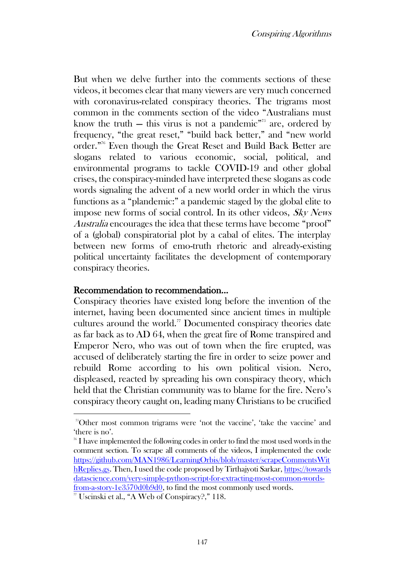But when we delve further into the comments sections of these videos, it becomes clear that many viewers are very much concerned with coronavirus-related conspiracy theories. The trigrams most common in the comments section of the video "Australians must know the truth  $-$  this virus is not a pandemic<sup> $m<sub>5</sub>$ </sup> are, ordered by frequency, "the great reset," "build back better," and "new world order." <sup>76</sup> Even though the Great Reset and Build Back Better are slogans related to various economic, social, political, and environmental programs to tackle COVID-19 and other global crises, the conspiracy-minded have interpreted these slogans as code words signaling the advent of a new world order in which the virus functions as a "plandemic:" a pandemic staged by the global elite to impose new forms of social control. In its other videos, Sky News Australia encourages the idea that these terms have become "proof" of a (global) conspiratorial plot by a cabal of elites. The interplay between new forms of emo-truth rhetoric and already-existing political uncertainty facilitates the development of contemporary conspiracy theories.

#### Recommendation to recommendation...

Conspiracy theories have existed long before the invention of the internet, having been documented since ancient times in multiple cultures around the world.<sup>77</sup> Documented conspiracy theories date as far back as to AD 64, when the great fire of Rome transpired and Emperor Nero, who was out of town when the fire erupted, was accused of deliberately starting the fire in order to seize power and rebuild Rome according to his own political vision. Nero, displeased, reacted by spreading his own conspiracy theory, which held that the Christian community was to blame for the fire. Nero's conspiracy theory caught on, leading many Christians to be crucified

<sup>75</sup>Other most common trigrams were 'not the vaccine', 'take the vaccine' and 'there is no'.

 $76$  I have implemented the following codes in order to find the most used words in the comment section. To scrape all comments of the videos, I implemented the code [https://github.com/MAN1986/LearningOrbis/blob/master/scrapeCommentsWit](https://github.com/MAN1986/LearningOrbis/blob/master/scrapeCommentsWithReplies.gs) [hReplies.gs.](https://github.com/MAN1986/LearningOrbis/blob/master/scrapeCommentsWithReplies.gs) Then, I used the code proposed by Tirthajyoti Sarkar[, https://towards](https://towardsdatascience.com/very-simple-python-script-for-extracting-most-common-words-from-a-story-1e3570d0b9d0) [datascience.com/very-simple-python-script-for-extracting-most-common-words](https://towardsdatascience.com/very-simple-python-script-for-extracting-most-common-words-from-a-story-1e3570d0b9d0)[from-a-story-1e3570d0b9d0,](https://towardsdatascience.com/very-simple-python-script-for-extracting-most-common-words-from-a-story-1e3570d0b9d0) to find the most commonly used words.

<sup>77</sup> Uscinski et al., "A Web of Conspiracy?," 118.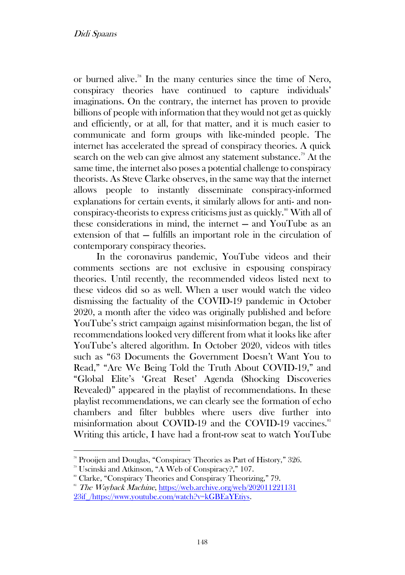or burned alive.<sup>78</sup> In the many centuries since the time of Nero, conspiracy theories have continued to capture individuals' imaginations. On the contrary, the internet has proven to provide billions of people with information that they would not get as quickly and efficiently, or at all, for that matter, and it is much easier to communicate and form groups with like-minded people. The internet has accelerated the spread of conspiracy theories. A quick search on the web can give almost any statement substance.<sup>79</sup> At the same time, the internet also poses a potential challenge to conspiracy theorists. As Steve Clarke observes, in the same way that the internet allows people to instantly disseminate conspiracy-informed explanations for certain events, it similarly allows for anti- and nonconspiracy-theorists to express criticisms just as quickly.<sup>80</sup> With all of these considerations in mind, the internet — and YouTube as an extension of that — fulfills an important role in the circulation of contemporary conspiracy theories.

In the coronavirus pandemic, YouTube videos and their comments sections are not exclusive in espousing conspiracy theories. Until recently, the recommended videos listed next to these videos did so as well. When a user would watch the video dismissing the factuality of the COVID-19 pandemic in October 2020, a month after the video was originally published and before YouTube's strict campaign against misinformation began, the list of recommendations looked very different from what it looks like after YouTube's altered algorithm. In October 2020, videos with titles such as "63 Documents the Government Doesn't Want You to Read," "Are We Being Told the Truth About COVID-19," and "Global Elite's 'Great Reset' Agenda (Shocking Discoveries Revealed)" appeared in the playlist of recommendations. In these playlist recommendations, we can clearly see the formation of echo chambers and filter bubbles where users dive further into misinformation about COVID-19 and the COVID-19 vaccines.<sup>81</sup> Writing this article, I have had a front-row seat to watch YouTube

<sup>78</sup> Prooijen and Douglas, "Conspiracy Theories as Part of History," 326.

<sup>79</sup> Uscinski and Atkinson, "A Web of Conspiracy?," 107.

<sup>80</sup> Clarke, "Conspiracy Theories and Conspiracy Theorizing," 79.

<sup>&</sup>lt;sup>81</sup> The Wayback Machine, https://web.archive.org/web/202011221131 23if\_/https://www.youtube.com/watch?v=kGBEaYEtiys.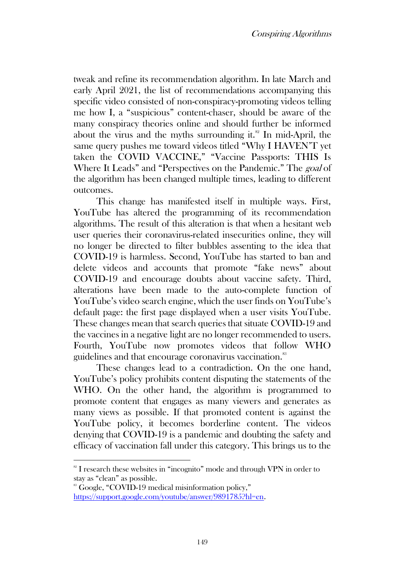tweak and refine its recommendation algorithm. In late March and early April 2021, the list of recommendations accompanying this specific video consisted of non-conspiracy-promoting videos telling me how I, a "suspicious" content-chaser, should be aware of the many conspiracy theories online and should further be informed about the virus and the myths surrounding it. $^{82}$  In mid-April, the same query pushes me toward videos titled "Why I HAVEN'T yet taken the COVID VACCINE," "Vaccine Passports: THIS Is Where It Leads" and "Perspectives on the Pandemic." The goal of the algorithm has been changed multiple times, leading to different outcomes.

This change has manifested itself in multiple ways. First, YouTube has altered the programming of its recommendation algorithms. The result of this alteration is that when a hesitant web user queries their coronavirus-related insecurities online, they will no longer be directed to filter bubbles assenting to the idea that COVID-19 is harmless. Second, YouTube has started to ban and delete videos and accounts that promote "fake news" about COVID-19 and encourage doubts about vaccine safety. Third, alterations have been made to the auto-complete function of YouTube's video search engine, which the user finds on YouTube's default page: the first page displayed when a user visits YouTube. These changes mean that search queries that situate COVID-19 and the vaccines in a negative light are no longer recommended to users. Fourth, YouTube now promotes videos that follow WHO guidelines and that encourage coronavirus vaccination.<sup>83</sup>

These changes lead to a contradiction. On the one hand, YouTube's policy prohibits content disputing the statements of the WHO. On the other hand, the algorithm is programmed to promote content that engages as many viewers and generates as many views as possible. If that promoted content is against the YouTube policy, it becomes borderline content. The videos denying that COVID-19 is a pandemic and doubting the safety and efficacy of vaccination fall under this category. This brings us to the

<sup>&</sup>lt;sup>82</sup> I research these websites in "incognito" mode and through VPN in order to stay as "clean" as possible.

<sup>&</sup>lt;sup>88</sup> Google, "COVID-19 medical misinformation policy,"

https://support.google.com/youtube/answer/9891785?hl=en.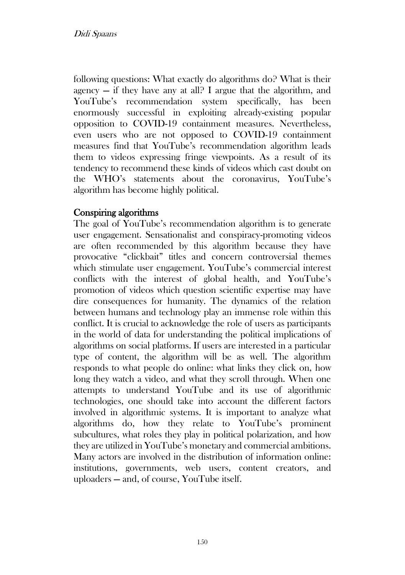following questions: What exactly do algorithms do? What is their agency  $-$  if they have any at all? I argue that the algorithm, and YouTube's recommendation system specifically, has been enormously successful in exploiting already-existing popular opposition to COVID-19 containment measures. Nevertheless, even users who are not opposed to COVID-19 containment measures find that YouTube's recommendation algorithm leads them to videos expressing fringe viewpoints. As a result of its tendency to recommend these kinds of videos which cast doubt on the WHO's statements about the coronavirus, YouTube's algorithm has become highly political.

# Conspiring algorithms

The goal of YouTube's recommendation algorithm is to generate user engagement. Sensationalist and conspiracy-promoting videos are often recommended by this algorithm because they have provocative "clickbait" titles and concern controversial themes which stimulate user engagement. YouTube's commercial interest conflicts with the interest of global health, and YouTube's promotion of videos which question scientific expertise may have dire consequences for humanity. The dynamics of the relation between humans and technology play an immense role within this conflict. It is crucial to acknowledge the role of users as participants in the world of data for understanding the political implications of algorithms on social platforms. If users are interested in a particular type of content, the algorithm will be as well. The algorithm responds to what people do online: what links they click on, how long they watch a video, and what they scroll through. When one attempts to understand YouTube and its use of algorithmic technologies, one should take into account the different factors involved in algorithmic systems. It is important to analyze what algorithms do, how they relate to YouTube's prominent subcultures, what roles they play in political polarization, and how they are utilized in YouTube's monetary and commercial ambitions. Many actors are involved in the distribution of information online: institutions, governments, web users, content creators, and uploaders — and, of course, YouTube itself.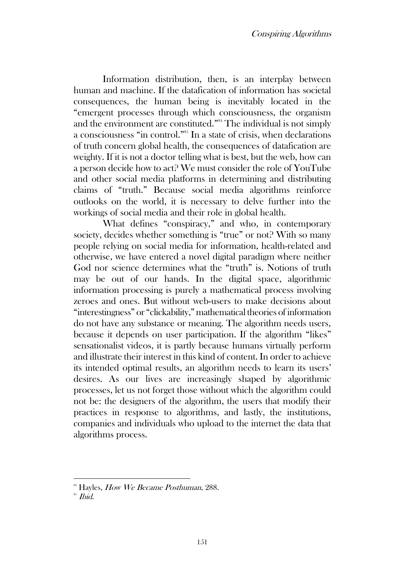Information distribution, then, is an interplay between human and machine. If the datafication of information has societal consequences, the human being is inevitably located in the "emergent processes through which consciousness, the organism and the environment are constituted." <sup>84</sup> The individual is not simply a consciousness "in control." <sup>85</sup> In a state of crisis, when declarations of truth concern global health, the consequences of datafication are weighty. If it is not a doctor telling what is best, but the web, how can a person decide how to act? We must consider the role of YouTube and other social media platforms in determining and distributing claims of "truth." Because social media algorithms reinforce outlooks on the world, it is necessary to delve further into the workings of social media and their role in global health.

What defines "conspiracy," and who, in contemporary society, decides whether something is "true" or not? With so many people relying on social media for information, health-related and otherwise, we have entered a novel digital paradigm where neither God nor science determines what the "truth" is. Notions of truth may be out of our hands. In the digital space, algorithmic information processing is purely a mathematical process involving zeroes and ones. But without web-users to make decisions about "interestingness" or "clickability," mathematical theories of information do not have any substance or meaning. The algorithm needs users, because it depends on user participation. If the algorithm "likes" sensationalist videos, it is partly because humans virtually perform and illustrate their interest in this kind of content. In order to achieve its intended optimal results, an algorithm needs to learn its users' desires. As our lives are increasingly shaped by algorithmic processes, let us not forget those without which the algorithm could not be: the designers of the algorithm, the users that modify their practices in response to algorithms, and lastly, the institutions, companies and individuals who upload to the internet the data that algorithms process.

<sup>&</sup>lt;sup>84</sup> Hayles, *How We Became Posthuman*, 288.

 $$^{85}$  *Ibid.*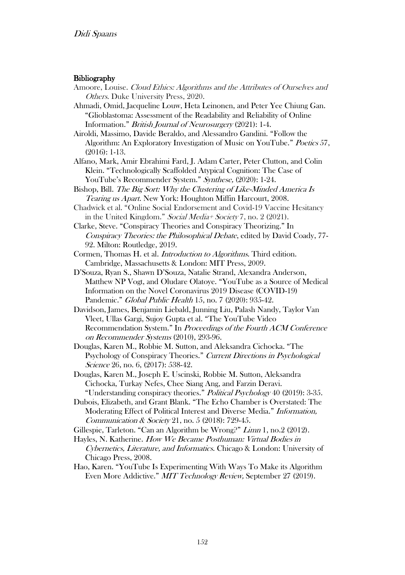#### **Bibliography**

- Amoore, Louise. Cloud Ethics: Algorithms and the Attributes of Ourselves and Others. Duke University Press, 2020.
- Ahmadi, Omid, Jacqueline Louw, Heta Leinonen, and Peter Yee Chiung Gan. "Glioblastoma: Assessment of the Readability and Reliability of Online Information." British Journal of Neurosurgery (2021): 1-4.

Airoldi, Massimo, Davide Beraldo, and Alessandro Gandini. "Follow the Algorithm: An Exploratory Investigation of Music on YouTube." Poetics 57, (2016): 1-13.

- Alfano, Mark, Amir Ebrahimi Fard, J. Adam Carter, Peter Clutton, and Colin Klein. "Technologically Scaffolded Atypical Cognition: The Case of YouTube's Recommender System." Synthese, (2020): 1-24.
- Bishop, Bill. The Big Sort: Why the Clustering of Like-Minded America Is Tearing us Apart. New York: Houghton Miffin Harcourt, 2008.
- Chadwick et al. "Online Social Endorsement and Covid-19 Vaccine Hesitancy in the United Kingdom." Social Media + Society 7, no. 2 (2021).
- Clarke, Steve. "Conspiracy Theories and Conspiracy Theorizing." In Conspiracy Theories: the Philosophical Debate, edited by David Coady, 77- 92. Milton: Routledge, 2019.
- Cormen, Thomas H. et al. Introduction to Algorithms. Third edition. Cambridge, Massachusetts & London: MIT Press, 2009.
- D'Souza, Ryan S., Shawn D'Souza, Natalie Strand, Alexandra Anderson, Matthew NP Vogt, and Oludare Olatoye. "YouTube as a Source of Medical Information on the Novel Coronavirus 2019 Disease (COVID-19) Pandemic." Global Public Health 15, no. 7 (2020): 935-42.
- Davidson, James, Benjamin Liebald, Junning Liu, Palash Nandy, Taylor Van Vleet, Ullas Gargi, Sujoy Gupta et al. "The YouTube Video Recommendation System." In Proceedings of the Fourth ACM Conference on Recommender Systems (2010), 293-96.
- Douglas, Karen M., Robbie M. Sutton, and Aleksandra Cichocka. "The Psychology of Conspiracy Theories." Current Directions in Psychological Science 26, no. 6, (2017): 538-42.
- Douglas, Karen M., Joseph E. Uscinski, Robbie M. Sutton, Aleksandra Cichocka, Turkay Nefes, Chee Siang Ang, and Farzin Deravi. "Understanding conspiracy theories." Political Psychology 40 (2019): 3-35.
- Dubois, Elizabeth, and Grant Blank. "The Echo Chamber is Overstated: The Moderating Effect of Political Interest and Diverse Media." Information, Communication & Society 21, no. 5 (2018): 729-45.
- Gillespie, Tarleton. "Can an Algorithm be Wrong?" Limn 1, no.2 (2012).
- Hayles, N. Katherine. How We Became Posthuman: Virtual Bodies in Cybernetics, Literature, and Informatics. Chicago & London: University of Chicago Press, 2008.
- Hao, Karen. "YouTube Is Experimenting With Ways To Make its Algorithm Even More Addictive." MIT Technology Review, September 27 (2019).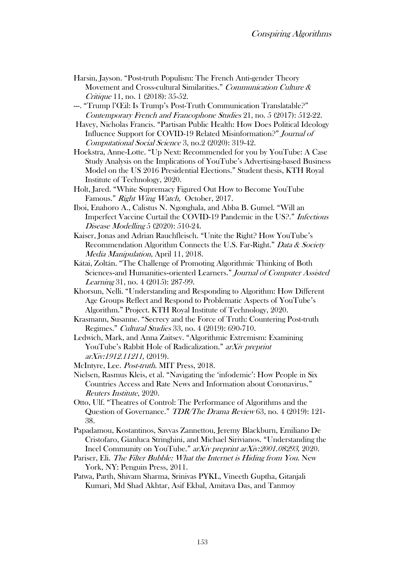- Harsin, Jayson. "Post-truth Populism: The French Anti-gender Theory Movement and Cross-cultural Similarities." Communication Culture & Critique 11, no. 1 (2018): 35-52.
- ---. "Trump l'Œil: Is Trump's Post-Truth Communication Translatable?" Contemporary French and Francophone Studies 21, no. 5 (2017): 512-22.
- Havey, Nicholas Francis. "Partisan Public Health: How Does Political Ideology Influence Support for COVID-19 Related Misinformation?" Journal of Computational Social Science 3, no.2 (2020): 319-42.
- Hoekstra, Anne-Lotte. "Up Next: Recommended for you by YouTube: A Case Study Analysis on the Implications of YouTube's Advertising-based Business Model on the US 2016 Presidential Elections." Student thesis, KTH Royal Institute of Technology, 2020.
- Holt, Jared. "White Supremacy Figured Out How to Become YouTube Famous." Right Wing Watch, October, 2017.
- Iboi, Enahoro A., Calistus N. Ngonghala, and Abba B. Gumel. "Will an Imperfect Vaccine Curtail the COVID-19 Pandemic in the US?." Infectious Disease Modelling 5 (2020): 510-24.
- Kaiser, Jonas and Adrian Rauchfleisch. "Unite the Right? How YouTube's Recommendation Algorithm Connects the U.S. Far-Right." Data & Society Media Manipulation, April 11, 2018.
- Kátai, Zoltán. "The Challenge of Promoting Algorithmic Thinking of Both Sciences-and Humanities-oriented Learners." Journal of Computer Assisted Learning 31, no. 4 (2015): 287-99.
- Khorsun, Nelli. "Understanding and Responding to Algorithm: How Different Age Groups Reflect and Respond to Problematic Aspects of YouTube's Algorithm." Project. KTH Royal Institute of Technology, 2020.
- Krasmann, Susanne. "Secrecy and the Force of Truth: Countering Post-truth Regimes." Cultural Studies 33, no. 4 (2019): 690-710.
- Ledwich, Mark, and Anna Zaitsev. "Algorithmic Extremism: Examining YouTube's Rabbit Hole of Radicalization." arXiv preprint arXiv:1912.11211, (2019).
- McIntyre, Lee. *Post-truth*. MIT Press, 2018.
- Nielsen, Rasmus Kleis, et al. "Navigating the 'infodemic': How People in Six Countries Access and Rate News and Information about Coronavirus." Reuters Institute, 2020.
- Otto, Ulf. "Theatres of Control: The Performance of Algorithms and the Question of Governance." TDR/The Drama Review 63, no. 4 (2019): 121- 38.
- Papadamou, Kostantinos, Savvas Zannettou, Jeremy Blackburn, Emiliano De Cristofaro, Gianluca Stringhini, and Michael Sirivianos. "Understanding the Incel Community on YouTube." arXiv preprint arXiv:2001.08293, 2020.
- Pariser, Eli. The Filter Bubble: What the Internet is Hiding from You. New York, NY: Penguin Press, 2011.
- Patwa, Parth, Shivam Sharma, Srinivas PYKL, Vineeth Guptha, Gitanjali Kumari, Md Shad Akhtar, Asif Ekbal, Amitava Das, and Tanmoy